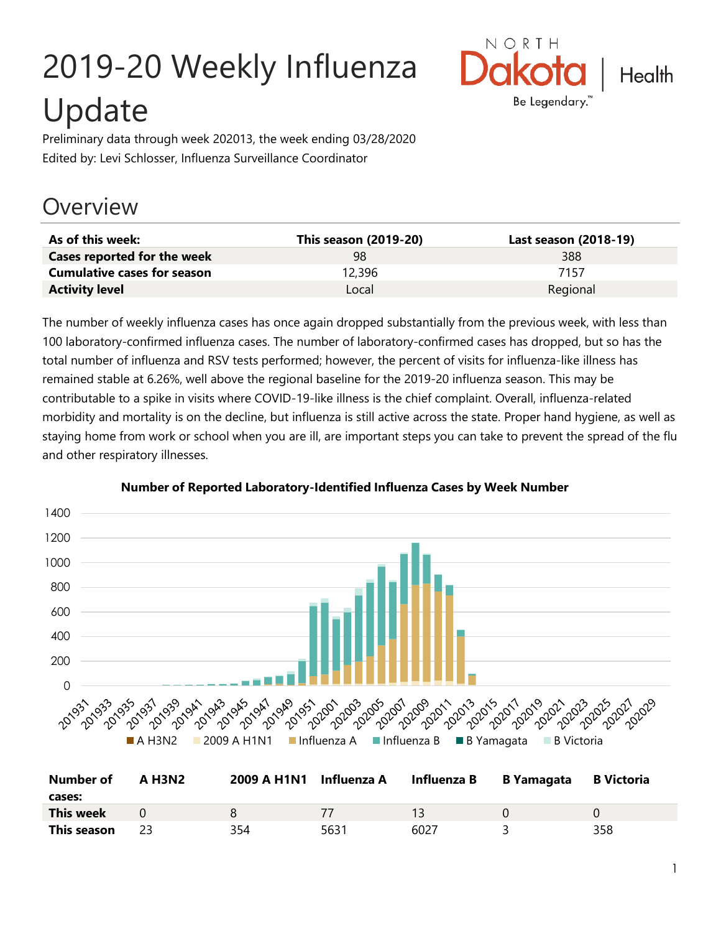# 2019-20 Weekly Influenza Update



Preliminary data through week 202013, the week ending 03/28/2020 Edited by: Levi Schlosser, Influenza Surveillance Coordinator

## **Overview**

| As of this week:                   | This season (2019-20) | Last season (2018-19) |
|------------------------------------|-----------------------|-----------------------|
| Cases reported for the week        | 98                    | 388                   |
| <b>Cumulative cases for season</b> | 12,396                | 7157                  |
| <b>Activity level</b>              | Local                 | Regional              |

The number of weekly influenza cases has once again dropped substantially from the previous week, with less than 100 laboratory-confirmed influenza cases. The number of laboratory-confirmed cases has dropped, but so has the total number of influenza and RSV tests performed; however, the percent of visits for influenza-like illness has remained stable at 6.26%, well above the regional baseline for the 2019-20 influenza season. This may be contributable to a spike in visits where COVID-19-like illness is the chief complaint. Overall, influenza-related morbidity and mortality is on the decline, but influenza is still active across the state. Proper hand hygiene, as well as staying home from work or school when you are ill, are important steps you can take to prevent the spread of the flu and other respiratory illnesses.



**Number of Reported Laboratory-Identified Influenza Cases by Week Number**

| <b>Number of</b> | <b>A H3N2</b> | 2009 A H1N1 Influenza A |      | Influenza B B Yamagata | <b>B</b> Victoria |
|------------------|---------------|-------------------------|------|------------------------|-------------------|
| cases:           |               |                         |      |                        |                   |
| <b>This week</b> |               |                         |      |                        |                   |
| This season      |               | 354                     | 5631 | 6027                   | 358               |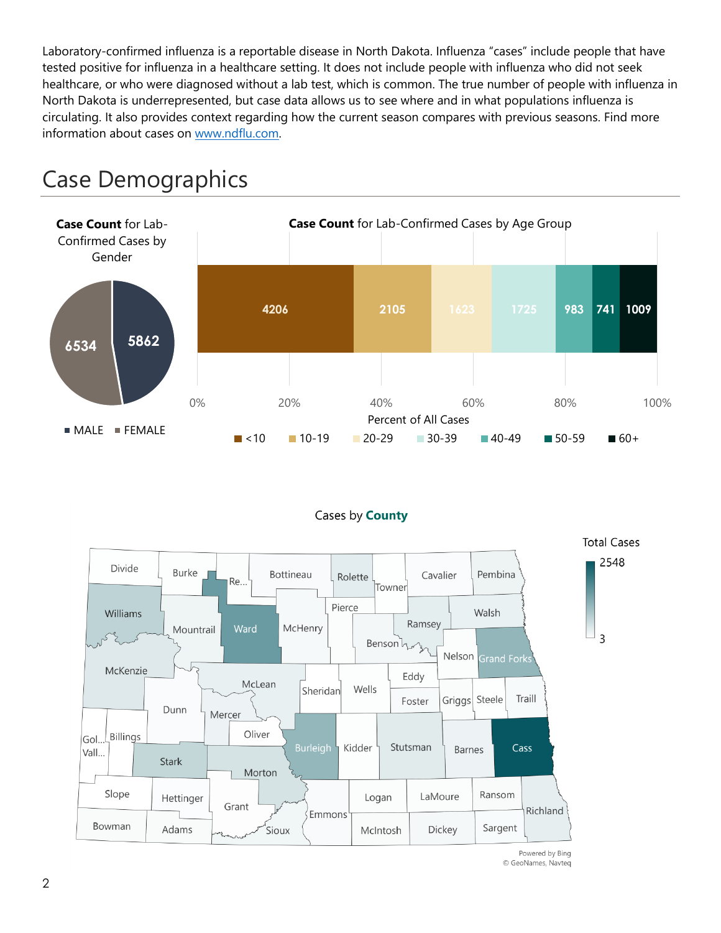Laboratory-confirmed influenza is a reportable disease in North Dakota. Influenza "cases" include people that have tested positive for influenza in a healthcare setting. It does not include people with influenza who did not seek healthcare, or who were diagnosed without a lab test, which is common. The true number of people with influenza in North Dakota is underrepresented, but case data allows us to see where and in what populations influenza is circulating. It also provides context regarding how the current season compares with previous seasons. Find more information about cases on [www.ndflu.com.](file://///nd.gov/doh/DOH-DATA/MSS/DC/PROGRAM/IMMUNE/Immunize/Influenza/Inf18-19/Surveillance/Weekly%20Summaries/www.ndflu.com)







Powered by Bing © GeoNames, Navteq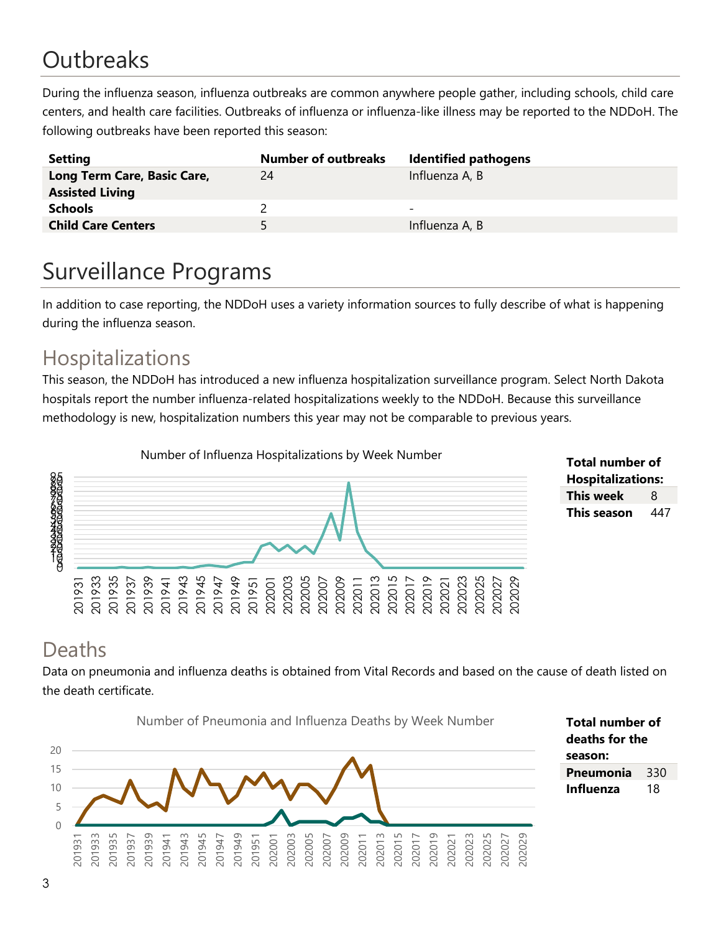# **Outbreaks**

During the influenza season, influenza outbreaks are common anywhere people gather, including schools, child care centers, and health care facilities. Outbreaks of influenza or influenza-like illness may be reported to the NDDoH. The following outbreaks have been reported this season:

| <b>Setting</b>                                        | <b>Number of outbreaks</b> | <b>Identified pathogens</b> |
|-------------------------------------------------------|----------------------------|-----------------------------|
| Long Term Care, Basic Care,<br><b>Assisted Living</b> | 24                         | Influenza A, B              |
| <b>Schools</b>                                        |                            | -                           |
| <b>Child Care Centers</b>                             | 5.                         | Influenza A, B              |

## Surveillance Programs

In addition to case reporting, the NDDoH uses a variety information sources to fully describe of what is happening during the influenza season.

#### Hospitalizations

This season, the NDDoH has introduced a new influenza hospitalization surveillance program. Select North Dakota hospitals report the number influenza-related hospitalizations weekly to the NDDoH. Because this surveillance methodology is new, hospitalization numbers this year may not be comparable to previous years.



**Total number of Hospitalizations: This week** 8 **This season** 447

#### Deaths

Data on pneumonia and influenza deaths is obtained from Vital Records and based on the cause of death listed on the death certificate.



**Total number of deaths for the season: Pneumonia** 330 **Influenza** 18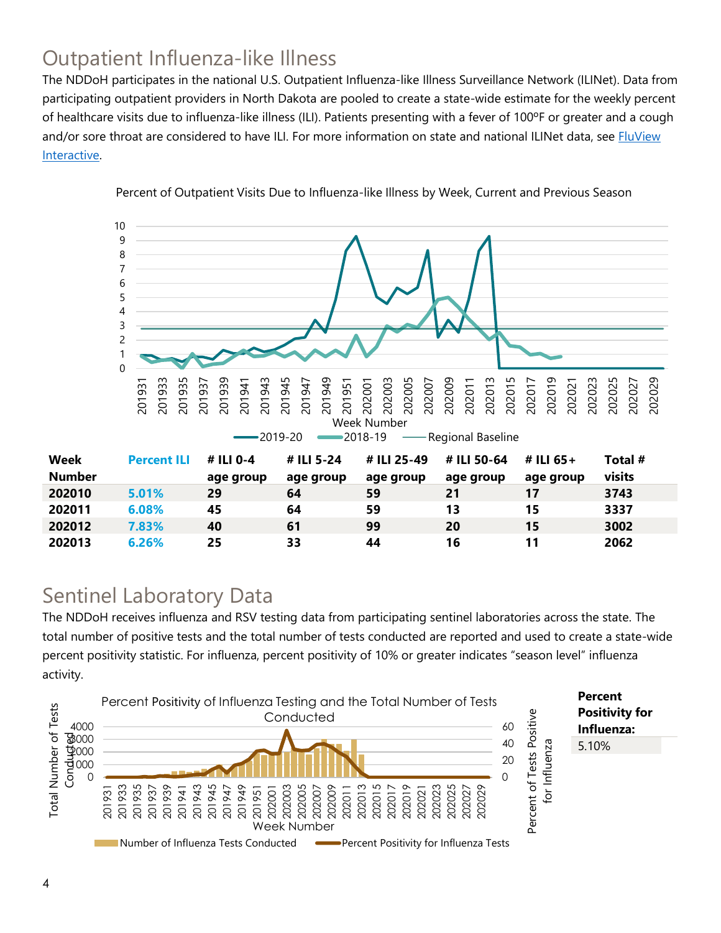### Outpatient Influenza-like Illness

The NDDoH participates in the national U.S. Outpatient Influenza-like Illness Surveillance Network (ILINet). Data from participating outpatient providers in North Dakota are pooled to create a state-wide estimate for the weekly percent of healthcare visits due to influenza-like illness (ILI). Patients presenting with a fever of 100ºF or greater and a cough and/or sore throat are considered to have ILI. For more information on state and national ILINet data, see **FluView** [Interactive.](https://gis.cdc.gov/grasp/fluview/fluportaldashboard.html)



Percent of Outpatient Visits Due to Influenza-like Illness by Week, Current and Previous Season

#### Sentinel Laboratory Data

The NDDoH receives influenza and RSV testing data from participating sentinel laboratories across the state. The total number of positive tests and the total number of tests conducted are reported and used to create a state-wide percent positivity statistic. For influenza, percent positivity of 10% or greater indicates "season level" influenza activity.

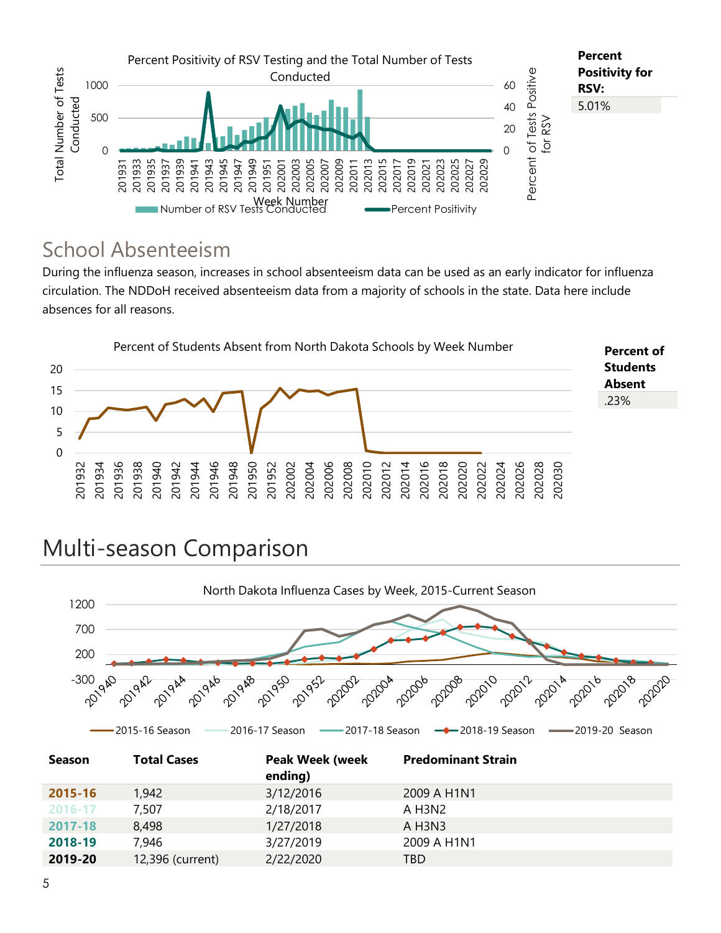

#### School Absenteeism

During the influenza season, increases in school absenteeism data can be used as an early indicator for influenza circulation. The NDDoH received absenteeism data from a majority of schools in the state. Data here include absences for all reasons.

![](_page_4_Figure_3.jpeg)

## Multi-season Comparison

![](_page_4_Figure_5.jpeg)